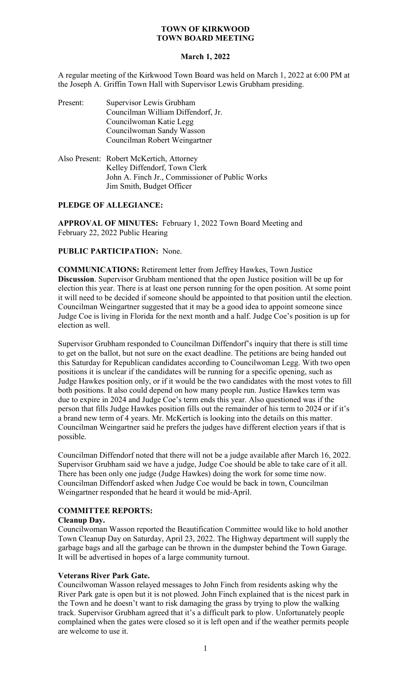## **March 1, 2022**

A regular meeting of the Kirkwood Town Board was held on March 1, 2022 at 6:00 PM at the Joseph A. Griffin Town Hall with Supervisor Lewis Grubham presiding.

| Present: | Supervisor Lewis Grubham           |
|----------|------------------------------------|
|          | Councilman William Diffendorf, Jr. |
|          | Councilwoman Katie Legg            |
|          | Councilwoman Sandy Wasson          |
|          | Councilman Robert Weingartner      |
|          |                                    |

| Also Present: Robert McKertich, Attorney        |
|-------------------------------------------------|
| Kelley Diffendorf, Town Clerk                   |
| John A. Finch Jr., Commissioner of Public Works |
| Jim Smith, Budget Officer                       |

## **PLEDGE OF ALLEGIANCE:**

**APPROVAL OF MINUTES:** February 1, 2022 Town Board Meeting and February 22, 2022 Public Hearing

## **PUBLIC PARTICIPATION:** None.

**COMMUNICATIONS:** Retirement letter from Jeffrey Hawkes, Town Justice **Discussion**. Supervisor Grubham mentioned that the open Justice position will be up for election this year. There is at least one person running for the open position. At some point it will need to be decided if someone should be appointed to that position until the election. Councilman Weingartner suggested that it may be a good idea to appoint someone since Judge Coe is living in Florida for the next month and a half. Judge Coe's position is up for election as well.

Supervisor Grubham responded to Councilman Diffendorf's inquiry that there is still time to get on the ballot, but not sure on the exact deadline. The petitions are being handed out this Saturday for Republican candidates according to Councilwoman Legg. With two open positions it is unclear if the candidates will be running for a specific opening, such as Judge Hawkes position only, or if it would be the two candidates with the most votes to fill both positions. It also could depend on how many people run. Justice Hawkes term was due to expire in 2024 and Judge Coe's term ends this year. Also questioned was if the person that fills Judge Hawkes position fills out the remainder of his term to 2024 or if it's a brand new term of 4 years. Mr. McKertich is looking into the details on this matter. Councilman Weingartner said he prefers the judges have different election years if that is possible.

Councilman Diffendorf noted that there will not be a judge available after March 16, 2022. Supervisor Grubham said we have a judge, Judge Coe should be able to take care of it all. There has been only one judge (Judge Hawkes) doing the work for some time now. Councilman Diffendorf asked when Judge Coe would be back in town, Councilman Weingartner responded that he heard it would be mid-April.

## **COMMITTEE REPORTS:**

### **Cleanup Day.**

Councilwoman Wasson reported the Beautification Committee would like to hold another Town Cleanup Day on Saturday, April 23, 2022. The Highway department will supply the garbage bags and all the garbage can be thrown in the dumpster behind the Town Garage. It will be advertised in hopes of a large community turnout.

## **Veterans River Park Gate.**

Councilwoman Wasson relayed messages to John Finch from residents asking why the River Park gate is open but it is not plowed. John Finch explained that is the nicest park in the Town and he doesn't want to risk damaging the grass by trying to plow the walking track. Supervisor Grubham agreed that it's a difficult park to plow. Unfortunately people complained when the gates were closed so it is left open and if the weather permits people are welcome to use it.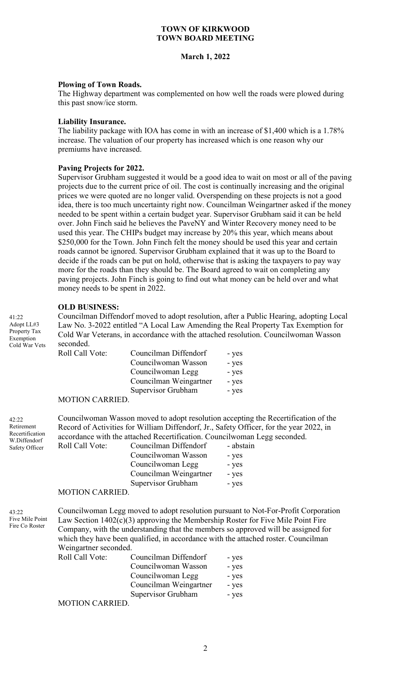### **March 1, 2022**

### **Plowing of Town Roads.**

The Highway department was complemented on how well the roads were plowed during this past snow/ice storm.

#### **Liability Insurance.**

The liability package with IOA has come in with an increase of \$1,400 which is a 1.78% increase. The valuation of our property has increased which is one reason why our premiums have increased.

### **Paving Projects for 2022.**

Supervisor Grubham suggested it would be a good idea to wait on most or all of the paving projects due to the current price of oil. The cost is continually increasing and the original prices we were quoted are no longer valid. Overspending on these projects is not a good idea, there is too much uncertainty right now. Councilman Weingartner asked if the money needed to be spent within a certain budget year. Supervisor Grubham said it can be held over. John Finch said he believes the PaveNY and Winter Recovery money need to be used this year. The CHIPs budget may increase by 20% this year, which means about \$250,000 for the Town. John Finch felt the money should be used this year and certain roads cannot be ignored. Supervisor Grubham explained that it was up to the Board to decide if the roads can be put on hold, otherwise that is asking the taxpayers to pay way more for the roads than they should be. The Board agreed to wait on completing any paving projects. John Finch is going to find out what money can be held over and what money needs to be spent in 2022.

### **OLD BUSINESS:**

Councilman Diffendorf moved to adopt resolution, after a Public Hearing, adopting Local Law No. 3-2022 entitled "A Local Law Amending the Real Property Tax Exemption for Cold War Veterans, in accordance with the attached resolution. Councilwoman Wasson seconded.

| Roll Call Vote:       | Councilman Diffendorf  | - yes |
|-----------------------|------------------------|-------|
|                       | Councilwoman Wasson    | - yes |
|                       | Councilwoman Legg      | - yes |
|                       | Councilman Weingartner | - yes |
|                       | Supervisor Grubham     | - yes |
| <b>MOTION CADDIED</b> |                        |       |

#### MOTION CARRIED.

Councilwoman Wasson moved to adopt resolution accepting the Recertification of the Record of Activities for William Diffendorf, Jr., Safety Officer, for the year 2022, in accordance with the attached Recertification. Councilwoman Legg seconded.

| Roll Call Vote:                      | Councilman Diffendorf  | - abstain |
|--------------------------------------|------------------------|-----------|
|                                      | Councilwoman Wasson    | - yes     |
|                                      | Councilwoman Legg      | - yes     |
|                                      | Councilman Weingartner | - yes     |
|                                      | Supervisor Grubham     | - yes     |
| $\lambda$ (otion of $\lambda$ prince |                        |           |

#### MOTION CARRIED.

43:22 Five Mile Point Fire Co Roster

42:22 Retirement Recertification W.Diffendorf Safety Officer

 $41.22$ Adopt LL#3 Property Tax Exemption Cold War Vets

> Councilwoman Legg moved to adopt resolution pursuant to Not-For-Profit Corporation Law Section 1402(c)(3) approving the Membership Roster for Five Mile Point Fire Company, with the understanding that the members so approved will be assigned for which they have been qualified, in accordance with the attached roster. Councilman Weingartner seconded.

| <b>Roll Call Vote:</b>             | Councilman Diffendorf  | - yes |
|------------------------------------|------------------------|-------|
|                                    | Councilwoman Wasson    | - yes |
|                                    | Councilwoman Legg      | - yes |
|                                    | Councilman Weingartner | - yes |
|                                    | Supervisor Grubham     | - yes |
| $M\Omega T I \Omega M C M D I E D$ |                        |       |

MOTION CARRIED.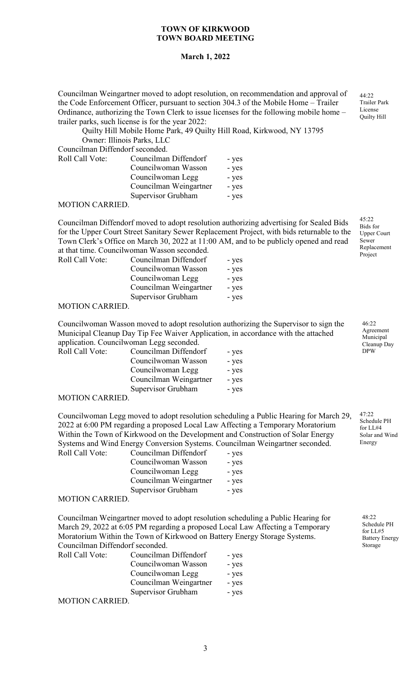### **March 1, 2022**

Councilman Weingartner moved to adopt resolution, on recommendation and approval of the Code Enforcement Officer, pursuant to section 304.3 of the Mobile Home – Trailer Ordinance, authorizing the Town Clerk to issue licenses for the following mobile home – trailer parks, such license is for the year 2022:

Quilty Hill Mobile Home Park, 49 Quilty Hill Road, Kirkwood, NY 13795 Owner: Illinois Parks, LLC Councilman Diffendorf seconded.

| Councilinali Diffendoff seconded.                       |                        |       |
|---------------------------------------------------------|------------------------|-------|
| Roll Call Vote:                                         | Councilman Diffendorf  | - yes |
|                                                         | Councilwoman Wasson    | - yes |
|                                                         | Councilwoman Legg      | - yes |
|                                                         | Councilman Weingartner | - yes |
|                                                         | Supervisor Grubham     | - yes |
| $\lambda$ ( $\alpha$ TI $\alpha$ ) $\lambda$ , $\alpha$ |                        |       |

MOTION CARRIED.

Councilman Diffendorf moved to adopt resolution authorizing advertising for Sealed Bids for the Upper Court Street Sanitary Sewer Replacement Project, with bids returnable to the Town Clerk's Office on March 30, 2022 at 11:00 AM, and to be publicly opened and read at that time. Councilwoman Wasson seconded.

| Roll Call Vote: | Councilman Diffendorf  | - yes |
|-----------------|------------------------|-------|
|                 | Councilwoman Wasson    | - yes |
|                 | Councilwoman Legg      | - yes |
|                 | Councilman Weingartner | - yes |
|                 | Supervisor Grubham     | - yes |
|                 |                        |       |

#### MOTION CARRIED.

Councilwoman Wasson moved to adopt resolution authorizing the Supervisor to sign the Municipal Cleanup Day Tip Fee Waiver Application, in accordance with the attached application. Councilwoman Legg seconded.

| Roll Call Vote:       | Councilman Diffendorf  | - yes |
|-----------------------|------------------------|-------|
|                       | Councilwoman Wasson    | - yes |
|                       | Councilwoman Legg      | - yes |
|                       | Councilman Weingartner | - yes |
|                       | Supervisor Grubham     | - yes |
| <b>MOTION CADDIED</b> |                        |       |

MOTION CARRIED.

Councilwoman Legg moved to adopt resolution scheduling a Public Hearing for March 29, 2022 at 6:00 PM regarding a proposed Local Law Affecting a Temporary Moratorium Within the Town of Kirkwood on the Development and Construction of Solar Energy Systems and Wind Energy Conversion Systems. Councilman Weingartner seconded. Roll Call Vote:

| Councilman Diffendorf  | - yes |
|------------------------|-------|
| Councilwoman Wasson    | - yes |
| Councilwoman Legg      | - yes |
| Councilman Weingartner | - yes |
| Supervisor Grubham     | - yes |
|                        |       |

#### MOTION CARRIED.

Councilman Weingartner moved to adopt resolution scheduling a Public Hearing for March 29, 2022 at 6:05 PM regarding a proposed Local Law Affecting a Temporary Moratorium Within the Town of Kirkwood on Battery Energy Storage Systems. Councilman Diffendorf seconded.

| Roll Call Vote:                        | Councilman Diffendorf  | - yes |
|----------------------------------------|------------------------|-------|
|                                        | Councilwoman Wasson    | - yes |
|                                        | Councilwoman Legg      | - yes |
|                                        | Councilman Weingartner | - yes |
|                                        | Supervisor Grubham     | - yes |
| $\lambda$ (otion of $\lambda$ priests) |                        |       |

MOTION CARRIED.

Trailer Park License Quilty Hill

44:22

45:22 Bids for Upper Court Sewer Replacement Project

> 46:22 Agreement Municipal Cleanup Day DPW

 $47.22$ Schedule PH for LL#4 Solar and Wind Energy

48:22 Schedule PH for LL#5 Battery Energy Storage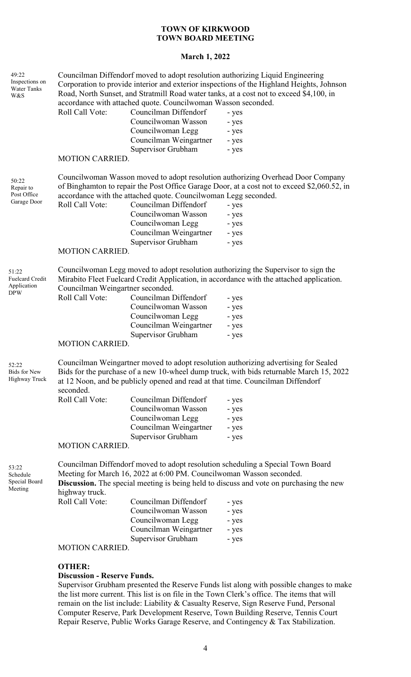## **March 1, 2022**

| 49:22<br>Inspections on<br>Water Tanks<br>W&S    | Roll Call Vote:                                             | accordance with attached quote. Councilwoman Wasson seconded.<br>Councilman Diffendorf<br>Councilwoman Wasson<br>Councilwoman Legg<br>Councilman Weingartner                              | Councilman Diffendorf moved to adopt resolution authorizing Liquid Engineering<br>Corporation to provide interior and exterior inspections of the Highland Heights, Johnson<br>Road, North Sunset, and Stratmill Road water tanks, at a cost not to exceed \$4,100, in<br>- yes<br>- yes<br>- yes<br>- yes     |
|--------------------------------------------------|-------------------------------------------------------------|-------------------------------------------------------------------------------------------------------------------------------------------------------------------------------------------|----------------------------------------------------------------------------------------------------------------------------------------------------------------------------------------------------------------------------------------------------------------------------------------------------------------|
|                                                  | <b>MOTION CARRIED.</b>                                      | Supervisor Grubham                                                                                                                                                                        | - yes                                                                                                                                                                                                                                                                                                          |
| 50:22<br>Repair to<br>Post Office<br>Garage Door | Roll Call Vote:<br><b>MOTION CARRIED.</b>                   | accordance with the attached quote. Councilwoman Legg seconded.<br>Councilman Diffendorf<br>Councilwoman Wasson<br>Councilwoman Legg<br>Councilman Weingartner<br>Supervisor Grubham      | Councilwoman Wasson moved to adopt resolution authorizing Overhead Door Company<br>of Binghamton to repair the Post Office Garage Door, at a cost not to exceed \$2,060.52, in<br>- yes<br>- yes<br>- yes<br>- yes<br>- yes                                                                                    |
| 51:22<br>Fuelcard Credit<br>Application<br>DPW   | Councilman Weingartner seconded.<br>Roll Call Vote:         | Councilman Diffendorf<br>Councilwoman Wasson<br>Councilwoman Legg<br>Councilman Weingartner<br>Supervisor Grubham                                                                         | Councilwoman Legg moved to adopt resolution authorizing the Supervisor to sign the<br>Mirabito Fleet Fuelcard Credit Application, in accordance with the attached application.<br>- yes<br>- yes<br>- yes<br>- yes<br>- yes                                                                                    |
|                                                  | <b>MOTION CARRIED.</b>                                      |                                                                                                                                                                                           |                                                                                                                                                                                                                                                                                                                |
| 52:22<br><b>Bids for New</b><br>Highway Truck    | seconded.<br>Roll Call Vote:<br><b>MOTION CARRIED.</b>      | Councilman Diffendorf<br>Councilwoman Wasson<br>Councilwoman Legg<br>Councilman Weingartner<br>Supervisor Grubham                                                                         | Councilman Weingartner moved to adopt resolution authorizing advertising for Sealed<br>Bids for the purchase of a new 10-wheel dump truck, with bids returnable March 15, 2022<br>at 12 Noon, and be publicly opened and read at that time. Councilman Diffendorf<br>- yes<br>- yes<br>- yes<br>- yes<br>- yes |
| 53:22<br>Schedule<br>Special Board<br>Meeting    | highway truck.<br>Roll Call Vote:<br><b>MOTION CARRIED.</b> | Meeting for March 16, 2022 at 6:00 PM. Councilwoman Wasson seconded.<br>Councilman Diffendorf<br>Councilwoman Wasson<br>Councilwoman Legg<br>Councilman Weingartner<br>Supervisor Grubham | Councilman Diffendorf moved to adopt resolution scheduling a Special Town Board<br><b>Discussion.</b> The special meeting is being held to discuss and vote on purchasing the new<br>- yes<br>- yes<br>- yes<br>- yes<br>- yes                                                                                 |
|                                                  |                                                             |                                                                                                                                                                                           |                                                                                                                                                                                                                                                                                                                |

### **OTHER:**

# **Discussion - Reserve Funds.**

Supervisor Grubham presented the Reserve Funds list along with possible changes to make the list more current. This list is on file in the Town Clerk's office. The items that will remain on the list include: Liability & Casualty Reserve, Sign Reserve Fund, Personal Computer Reserve, Park Development Reserve, Town Building Reserve, Tennis Court Repair Reserve, Public Works Garage Reserve, and Contingency & Tax Stabilization.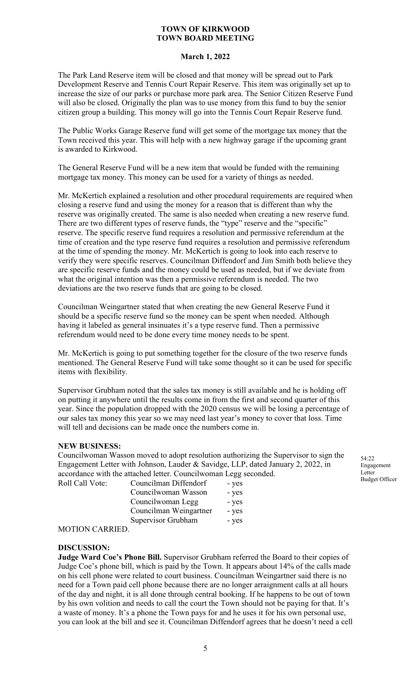## **March 1, 2022**

The Park Land Reserve item will be closed and that money will be spread out to Park Development Reserve and Tennis Court Repair Reserve. This item was originally set up to increase the size of our parks or purchase more park area. The Senior Citizen Reserve Fund will also be closed. Originally the plan was to use money from this fund to buy the senior citizen group a building. This money will go into the Tennis Court Repair Reserve fund.

The Public Works Garage Reserve fund will get some of the mortgage tax money that the Town received this year. This will help with a new highway garage if the upcoming grant is awarded to Kirkwood.

The General Reserve Fund will be a new item that would be funded with the remaining mortgage tax money. This money can be used for a variety of things as needed.

Mr. McKertich explained a resolution and other procedural requirements are required when closing a reserve fund and using the money for a reason that is different than why the reserve was originally created. The same is also needed when creating a new reserve fund. There are two different types of reserve funds, the "type" reserve and the "specific" reserve. The specific reserve fund requires a resolution and permissive referendum at the time of creation and the type reserve fund requires a resolution and permissive referendum at the time of spending the money. Mr. McKertich is going to look into each reserve to verify they were specific reserves. Councilman Diffendorf and Jim Smith both believe they are specific reserve funds and the money could be used as needed, but if we deviate from what the original intention was then a permissive referendum is needed. The two deviations are the two reserve funds that are going to be closed.

Councilman Weingartner stated that when creating the new General Reserve Fund it should be a specific reserve fund so the money can be spent when needed. Although having it labeled as general insinuates it's a type reserve fund. Then a permissive referendum would need to be done every time money needs to be spent.

Mr. McKertich is going to put something together for the closure of the two reserve funds mentioned. The General Reserve Fund will take some thought so it can be used for specific items with flexibility.

Supervisor Grubham noted that the sales tax money is still available and he is holding off on putting it anywhere until the results come in from the first and second quarter of this year. Since the population dropped with the 2020 census we will be losing a percentage of our sales tax money this year so we may need last year's money to cover that loss. Time will tell and decisions can be made once the numbers come in.

#### **NEW BUSINESS:**

Councilwoman Wasson moved to adopt resolution authorizing the Supervisor to sign the Engagement Letter with Johnson, Lauder & Savidge, LLP, dated January 2, 2022, in accordance with the attached letter. Councilwoman Legg seconded. Roll Call Vote: Councilman Diffendorf - yes

Councilwoman Wasson - yes Councilwoman Legg - yes Councilman Weingartner - yes Supervisor Grubham - yes

MOTION CARRIED.

#### **DISCUSSION:**

**Judge Ward Coe's Phone Bill.** Supervisor Grubham referred the Board to their copies of Judge Coe's phone bill, which is paid by the Town. It appears about 14% of the calls made on his cell phone were related to court business. Councilman Weingartner said there is no need for a Town paid cell phone because there are no longer arraignment calls at all hours of the day and night, it is all done through central booking. If he happens to be out of town by his own volition and needs to call the court the Town should not be paying for that. It's a waste of money. It's a phone the Town pays for and he uses it for his own personal use, you can look at the bill and see it. Councilman Diffendorf agrees that he doesn't need a cell

54:22 Engagement Letter Budget Officer